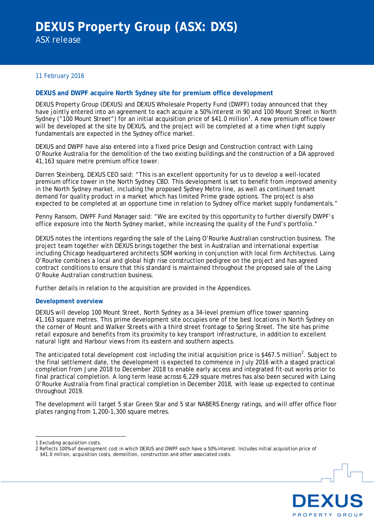### 11 February 2016

### **DEXUS and DWPF acquire North Sydney site for premium office development**

DEXUS Property Group (DEXUS) and DEXUS Wholesale Property Fund (DWPF) today announced that they have jointly entered into an agreement to each acquire a 50% interest in 90 and 100 Mount Street in North Sydney ("[1](#page-0-0)00 Mount Street") for an initial acquisition price of \$41.0 million<sup>1</sup>. A new premium office tower will be developed at the site by DEXUS, and the project will be completed at a time when tight supply fundamentals are expected in the Sydney office market.

DEXUS and DWPF have also entered into a fixed price Design and Construction contract with Laing O'Rourke Australia for the demolition of the two existing buildings and the construction of a DA approved 41,163 square metre premium office tower.

Darren Steinberg, DEXUS CEO said: "This is an excellent opportunity for us to develop a well-located premium office tower in the North Sydney CBD. This development is set to benefit from improved amenity in the North Sydney market, including the proposed Sydney Metro line, as well as continued tenant demand for quality product in a market which has limited Prime grade options. The project is also expected to be completed at an opportune time in relation to Sydney office market supply fundamentals."

Penny Ransom, DWPF Fund Manager said: "We are excited by this opportunity to further diversify DWPF's office exposure into the North Sydney market, while increasing the quality of the Fund's portfolio."

DEXUS notes the intentions regarding the sale of the Laing O'Rourke Australian construction business. The project team together with DEXUS brings together the best in Australian and international expertise including Chicago headquartered architects SOM working in conjunction with local firm Architectus. Laing O'Rourke combines a local and global high rise construction pedigree on the project and has agreed contract conditions to ensure that this standard is maintained throughout the proposed sale of the Laing O'Rouke Australian construction business.

Further details in relation to the acquisition are provided in the Appendices.

#### **Development overview**

DEXUS will develop 100 Mount Street, North Sydney as a 34-level premium office tower spanning 41,163 square metres. This prime development site occupies one of the best locations in North Sydney on the corner of Mount and Walker Streets with a third street frontage to Spring Street. The site has prime retail exposure and benefits from its proximity to key transport infrastructure, in addition to excellent natural light and Harbour views from its eastern and southern aspects.

The anticipated total development cost including the initial acquisition price is \$467.5 million<sup>[2](#page-0-1)</sup>. Subject to the final settlement date, the development is expected to commence in July 2016 with a staged practical completion from June 2018 to December 2018 to enable early access and integrated fit-out works prior to final practical completion. A long term lease across 6,229 square metres has also been secured with Laing O'Rourke Australia from final practical completion in December 2018, with lease up expected to continue throughout 2019.

The development will target 5 star Green Star and 5 star NABERS Energy ratings, and will offer office floor plates ranging from 1,200-1,300 square metres.

<u>.</u>



<span id="page-0-0"></span><sup>1</sup> Excluding acquisition costs.

<span id="page-0-2"></span><span id="page-0-1"></span><sup>2</sup> Reflects 100% of development cost in which DEXUS and DWPF each have a 50% interest. Includes initial acquisition price of \$41.0 million, acquisition costs, demolition, construction and other associated costs.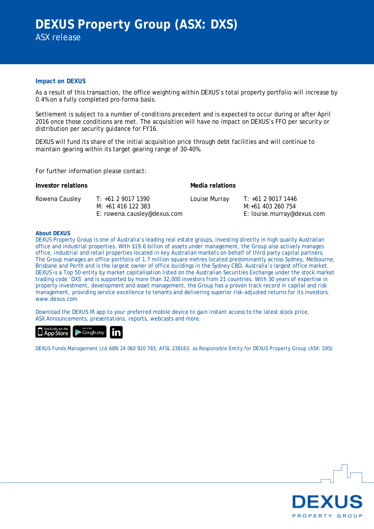## **Impact on DEXUS**

As a result of this transaction, the office weighting within DEXUS's total property portfolio will increase by 0.4% on a fully completed pro-forma basis.

Settlement is subject to a number of conditions precedent and is expected to occur during or after April 2016 once those conditions are met. The acquisition will have no impact on DEXUS's FFO per security or distribution per security guidance for FY16.

DEXUS will fund its share of the initial acquisition price through debt facilities and will continue to maintain gearing within its target gearing range of 30-40%.

For further information please contact:

| Investor relations |                                                                         | Media relations |                                                                       |
|--------------------|-------------------------------------------------------------------------|-----------------|-----------------------------------------------------------------------|
| Rowena Causley     | T: +61 2 9017 1390<br>M: +61 416 122 383<br>E: rowena.causley@dexus.com | Louise Murray   | T: +61 2 9017 1446<br>M:+61 403 260 754<br>E: louise.murray@dexus.com |

#### **About DEXUS**

DEXUS Property Group is one of Australia's leading real estate groups, investing directly in high quality Australian office and industrial properties. With \$19.6 billion of assets under management, the Group also actively manages office, industrial and retail properties located in key Australian markets on behalf of third party capital partners. The Group manages an office portfolio of 1.7 million square metres located predominantly across Sydney, Melbourne, Brisbane and Perth and is the largest owner of office buildings in the Sydney CBD, Australia's largest office market. DEXUS is a Top 50 entity by market capitalisation listed on the Australian Securities Exchange under the stock market trading code 'DXS' and is supported by more than 32,000 investors from 21 countries. With 30 years of expertise in property investment, development and asset management, the Group has a proven track record in capital and risk management, providing service excellence to tenants and delivering superior risk-adjusted returns for its investors. www.dexus.com

Download the DEXUS IR app to your preferred mobile device to gain instant access to the latest stock price, ASX Announcements, presentations, reports, webcasts and more.



DEXUS Funds Management Ltd ABN 24 060 920 783, AFSL 238163, as Responsible Entity for DEXUS Property Group (ASX: DXS)

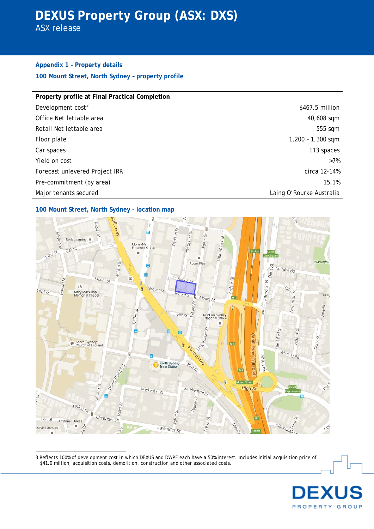## **DEXUS Property Group (ASX: DXS)**

ASX release

## **Appendix 1 – Property details 100 Mount Street, North Sydney – property profile**

| Property profile at Final Practical Completion |  |  |
|------------------------------------------------|--|--|
| \$467.5 million                                |  |  |
| 40,608 sqm                                     |  |  |
| 555 sqm                                        |  |  |
| $1,200 - 1,300$ sqm                            |  |  |
| 113 spaces                                     |  |  |
| $>7\%$                                         |  |  |
| circa 12-14%                                   |  |  |
| 15.1%                                          |  |  |
| Laing O'Rourke Australia                       |  |  |
|                                                |  |  |

## **100 Mount Street, North Sydney - location map**



<u>.</u> 3 Reflects 100% of development cost in which DEXUS and DWPF each have a 50% interest. Includes initial acquisition price of \$41.0 million, acquisition costs, demolition, construction and other associated costs.

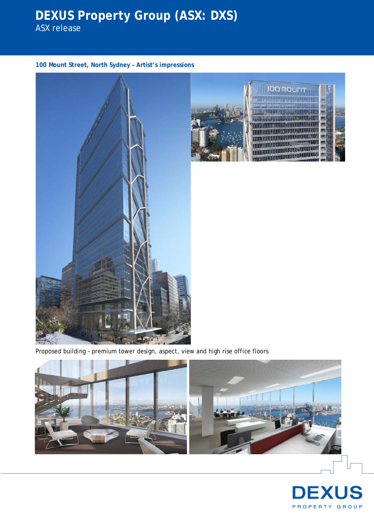# **DEXUS Property Group (ASX: DXS)**

ASX release

**100 Mount Street, North Sydney – Artist's impressions**





Proposed building – premium tower design, aspect, view and high rise office floors



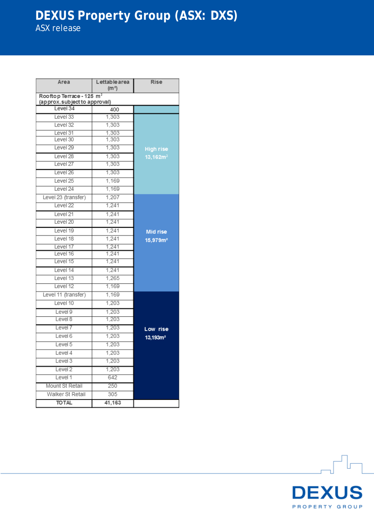## **DEXUS Property Group (ASX: DXS)** ASX release

| Area                                                                 | Lettable area<br>(m <sup>2</sup> ) | <b>Rise</b>          |  |
|----------------------------------------------------------------------|------------------------------------|----------------------|--|
| Rooftop Terrace - 125 m <sup>2</sup><br>(approx.subject to approval) |                                    |                      |  |
| Level 34                                                             | 400                                |                      |  |
| Level 33                                                             | 1,303                              |                      |  |
| Level 32                                                             | 1,303                              |                      |  |
| Level 31                                                             | 1,303                              |                      |  |
| Level 30                                                             | 1,303                              |                      |  |
| Level <sub>29</sub>                                                  | 1,303                              | <b>High rise</b>     |  |
| Level 28                                                             | 1,303                              | 13,162m <sup>2</sup> |  |
| Level <sub>27</sub>                                                  | 1,303                              |                      |  |
| Level 26                                                             | 1,303                              |                      |  |
| Level <sub>25</sub>                                                  | 1,169                              |                      |  |
| Level 24                                                             | 1,169                              |                      |  |
| Level 23 (transfer)                                                  | 1,207                              |                      |  |
| Level <sub>22</sub>                                                  | 1,241                              |                      |  |
| Level 21                                                             | 1,241                              |                      |  |
| Level 20                                                             | 1,241                              |                      |  |
| Level 19                                                             | 1,241                              | <b>Mid rise</b>      |  |
| Level 18                                                             | 1,241                              | 15,979m <sup>2</sup> |  |
| Level 17                                                             | 1.241                              |                      |  |
| Level 16                                                             | 1,241                              |                      |  |
| Level 15                                                             | 1,241                              |                      |  |
| Level 14                                                             | 1,241                              |                      |  |
| Level 13                                                             | 1,265                              |                      |  |
| Level 12                                                             | 1,169                              |                      |  |
| Level 11 (transfer)                                                  | 1,169                              |                      |  |
| Level 10                                                             | 1,203                              |                      |  |
| Level 9                                                              | 1,203                              |                      |  |
| Level 8                                                              | 1,203                              |                      |  |
| Level 7                                                              | 1,203                              | Low rise             |  |
| Level 6                                                              | 1,203                              | 13,193m <sup>2</sup> |  |
| Level 5                                                              | 1,203                              |                      |  |
| Level 4                                                              | 1,203                              |                      |  |
| Level 3                                                              | 1,203                              |                      |  |
| Level 2                                                              | 1,203                              |                      |  |
| Level 1                                                              | 642                                |                      |  |
| Mount St Retail                                                      | 250                                |                      |  |
| Walker St Retail                                                     | 305                                |                      |  |
| <b>TO TAL</b>                                                        | 41,163                             |                      |  |